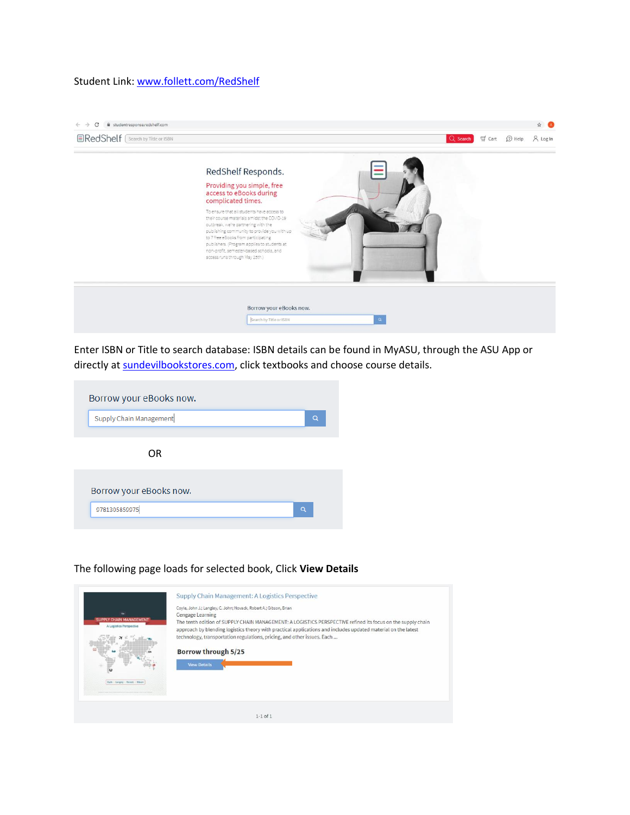## Student Link: [www.follett.com/RedShelf](http://www.follett.com/RedShelf)



Enter ISBN or Title to search database: ISBN details can be found in MyASU, through the ASU App or directly at [sundevilbookstores.com,](https://www.bkstr.com/arizonastatestore) click textbooks and choose course details.

| Borrow your eBooks now. |          |
|-------------------------|----------|
| Supply Chain Management | Q        |
|                         |          |
| 0 <sub>R</sub>          |          |
| Borrow your eBooks now. |          |
| 9781305859975           | $\alpha$ |
|                         |          |

## The following page loads for selected book, Click **View Details**

|                                                           | Coyle, John J.; Langley, C. John; Novack, Robert A.; Gibson, Brian<br>Cengage Learning                                                                                                                                       |
|-----------------------------------------------------------|------------------------------------------------------------------------------------------------------------------------------------------------------------------------------------------------------------------------------|
| <b>SUPPLY CHAIN MANAGEMENT</b><br>A Logistics Perspective | The tenth edition of SUPPLY CHAIN MANAGEMENT: A LOGISTICS PERSPECTIVE refined its focus on the supply chain<br>approach by blending logistics theory with practical applications and includes updated material on the latest |
|                                                           | technology, transportation regulations, pricing, and other issues. Each                                                                                                                                                      |
|                                                           | Borrow through 5/25                                                                                                                                                                                                          |
| $\omega$                                                  | <b>View Details</b>                                                                                                                                                                                                          |
|                                                           |                                                                                                                                                                                                                              |
|                                                           |                                                                                                                                                                                                                              |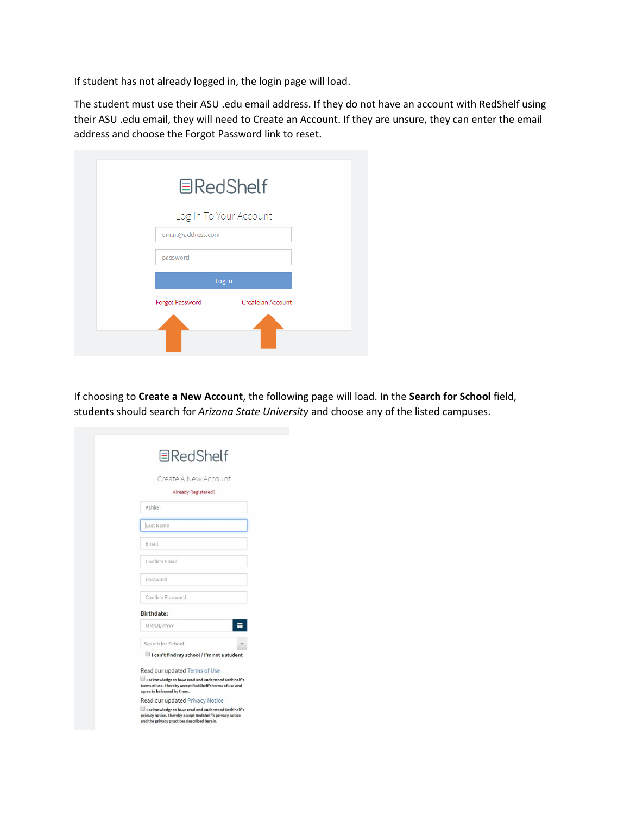If student has not already logged in, the login page will load.

The student must use their ASU .edu email address. If they do not have an account with RedShelf using their ASU .edu email, they will need to Create an Account. If they are unsure, they can enter the email address and choose the Forgot Password link to reset.

| <b>国RedShelf</b>                            |
|---------------------------------------------|
| Log In To Your Account                      |
| email@address.com                           |
| password                                    |
| Log In                                      |
| <b>Forgot Password</b><br>Create an Account |
|                                             |
|                                             |

If choosing to **Create a New Account**, the following page will load. In the **Search for School** field, students should search for *Arizona State University* and choose any of the listed campuses.

| <b>国RedShelf</b>                                                                                                                                                 |
|------------------------------------------------------------------------------------------------------------------------------------------------------------------|
| Create A New Account                                                                                                                                             |
| Already Registered?                                                                                                                                              |
| Ashlie                                                                                                                                                           |
| Last Name                                                                                                                                                        |
| Email                                                                                                                                                            |
| Confirm Email                                                                                                                                                    |
| Password                                                                                                                                                         |
| Confirm Password                                                                                                                                                 |
| <b>Birthdate:</b>                                                                                                                                                |
| MM/DD/YYYY                                                                                                                                                       |
| Search for School                                                                                                                                                |
| I can't find my school / I'm not a student                                                                                                                       |
| Read our updated Terms of Use                                                                                                                                    |
| I acknowledge to have read and understood RedShelf's<br>terms of use. I hereby accept RedShelf's terms of use and<br>agree to be bound by them.                  |
| Read our updated Privacy Notice                                                                                                                                  |
| I acknowledge to have read and understood RedShelf's<br>privacy notice. I hereby accept RedShelf's privacy notice<br>and the privacy practices described herein. |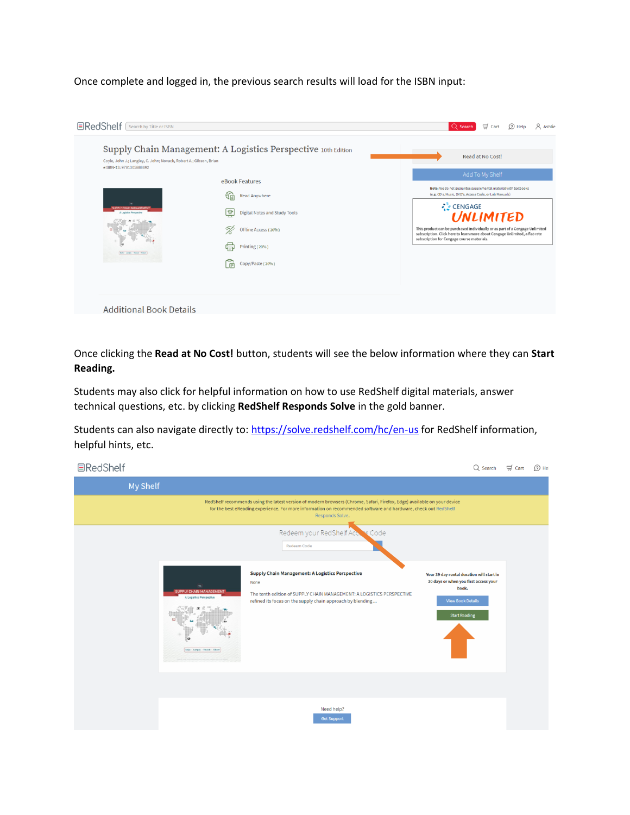Once complete and logged in, the previous search results will load for the ISBN input:

| Coyle, John J.; Langley, C. John; Novack, Robert A.; Gibson, Brian<br>eISBN-13: 9781305888692       | Supply Chain Management: A Logistics Perspective 10th Edition                                                                                                | Read at No Cost!                                                                                                                                                                                                                                                                                                                                                                 |
|-----------------------------------------------------------------------------------------------------|--------------------------------------------------------------------------------------------------------------------------------------------------------------|----------------------------------------------------------------------------------------------------------------------------------------------------------------------------------------------------------------------------------------------------------------------------------------------------------------------------------------------------------------------------------|
| <b>JPPLY CHAIN MANAGEMEN</b><br><b>A Lagistics Perspective</b><br>Dole - Langley - Newalk - Olleans | eBook Features<br>ଝ≘<br>Read Anywhere<br>ভি<br><b>Digital Notes and Study Tools</b><br>Ú.<br>Offline Access (20%)<br>Printing (20%)<br>Copy/Paste (20%)<br>自 | Add To My Shelf<br>Note: We do not guarantee supplemental material with textbooks<br>(e.g. CD's, Music, DVD's, Access Code, or Lab Manuals)<br>CENGAGE<br>UNLIMITED<br>This product can be purchased individually or as part of a Cengage Unlimited<br>subscription. Click here to learn more about Cengage Unlimited, a flat-rate<br>subscription for Cengage course materials. |

Once clicking the **Read at No Cost!** button, students will see the below information where they can **Start Reading.** 

Students may also click for helpful information on how to use RedShelf digital materials, answer technical questions, etc. by clicking **RedShelf Responds Solve** in the gold banner.

Students can also navigate directly to:<https://solve.redshelf.com/hc/en-us> for RedShelf information, helpful hints, etc.